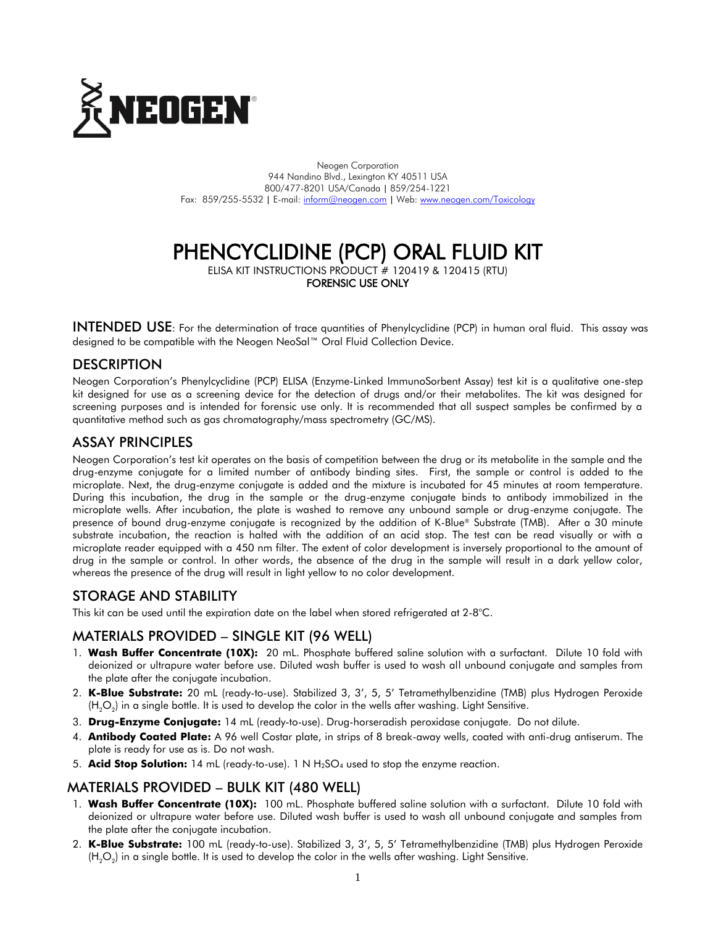

Neogen Corporation 944 Nandino Blvd., Lexington KY 40511 USA 800/477-8201 USA/Canada | 859/254-1221 Fax: 859/255-5532 | E-mail[: inform@neogen.com](mailto:inform@neogen.com) | Web[: www.neogen.com/Toxicology](http://www.neogen.com/Toxicology)

# PHENCYCLIDINE (PCP) ORAL FLUID KIT

ELISA KIT INSTRUCTIONS PRODUCT # 120419 & 120415 (RTU)

FORENSIC USE ONLY

INTENDED USE: For the determination of trace quantities of Phenylcyclidine (PCP) in human oral fluid. This assay was designed to be compatible with the Neogen NeoSal™ Oral Fluid Collection Device.

# **DESCRIPTION**

Neogen Corporation's Phenylcyclidine (PCP) ELISA (Enzyme-Linked ImmunoSorbent Assay) test kit is a qualitative one-step kit designed for use as a screening device for the detection of drugs and/or their metabolites. The kit was designed for screening purposes and is intended for forensic use only. It is recommended that all suspect samples be confirmed by a quantitative method such as gas chromatography/mass spectrometry (GC/MS).

# ASSAY PRINCIPLES

Neogen Corporation's test kit operates on the basis of competition between the drug or its metabolite in the sample and the drug-enzyme conjugate for a limited number of antibody binding sites. First, the sample or control is added to the microplate. Next, the drug-enzyme conjugate is added and the mixture is incubated for 45 minutes at room temperature. During this incubation, the drug in the sample or the drug-enzyme conjugate binds to antibody immobilized in the microplate wells. After incubation, the plate is washed to remove any unbound sample or drug-enzyme conjugate. The presence of bound drug-enzyme conjugate is recognized by the addition of K-Blue® Substrate (TMB). After a 30 minute substrate incubation, the reaction is halted with the addition of an acid stop. The test can be read visually or with a microplate reader equipped with a 450 nm filter. The extent of color development is inversely proportional to the amount of drug in the sample or control. In other words, the absence of the drug in the sample will result in a dark yellow color, whereas the presence of the drug will result in light yellow to no color development.

# STORAGE AND STABILITY

This kit can be used until the expiration date on the label when stored refrigerated at 2-8°C.

# MATERIALS PROVIDED – SINGLE KIT (96 WELL)

- 1. **Wash Buffer Concentrate (10X):** 20 mL. Phosphate buffered saline solution with a surfactant. Dilute 10 fold with deionized or ultrapure water before use. Diluted wash buffer is used to wash all unbound conjugate and samples from the plate after the conjugate incubation.
- 2. **K-Blue Substrate:** 20 mL (ready-to-use). Stabilized 3, 3', 5, 5' Tetramethylbenzidine (TMB) plus Hydrogen Peroxide (H $_{2} \rm{O}_{2}$ ) in a single bottle. It is used to develop the color in the wells after washing. Light Sensitive.
- 3. **Drug-Enzyme Conjugate:** 14 mL (ready-to-use). Drug-horseradish peroxidase conjugate. Do not dilute.
- 4. **Antibody Coated Plate:** A 96 well Costar plate, in strips of 8 break-away wells, coated with anti-drug antiserum. The plate is ready for use as is. Do not wash.
- 5. **Acid Stop Solution:** 14 mL (ready-to-use). 1 N H2SO<sup>4</sup> used to stop the enzyme reaction.

### MATERIALS PROVIDED – BULK KIT (480 WELL)

- 1. **Wash Buffer Concentrate (10X):** 100 mL. Phosphate buffered saline solution with a surfactant. Dilute 10 fold with deionized or ultrapure water before use. Diluted wash buffer is used to wash all unbound conjugate and samples from the plate after the conjugate incubation.
- 2. **K-Blue Substrate:** 100 mL (ready-to-use). Stabilized 3, 3', 5, 5' Tetramethylbenzidine (TMB) plus Hydrogen Peroxide (H $_{2} \rm{O}_{2}$ ) in a single bottle. It is used to develop the color in the wells after washing. Light Sensitive.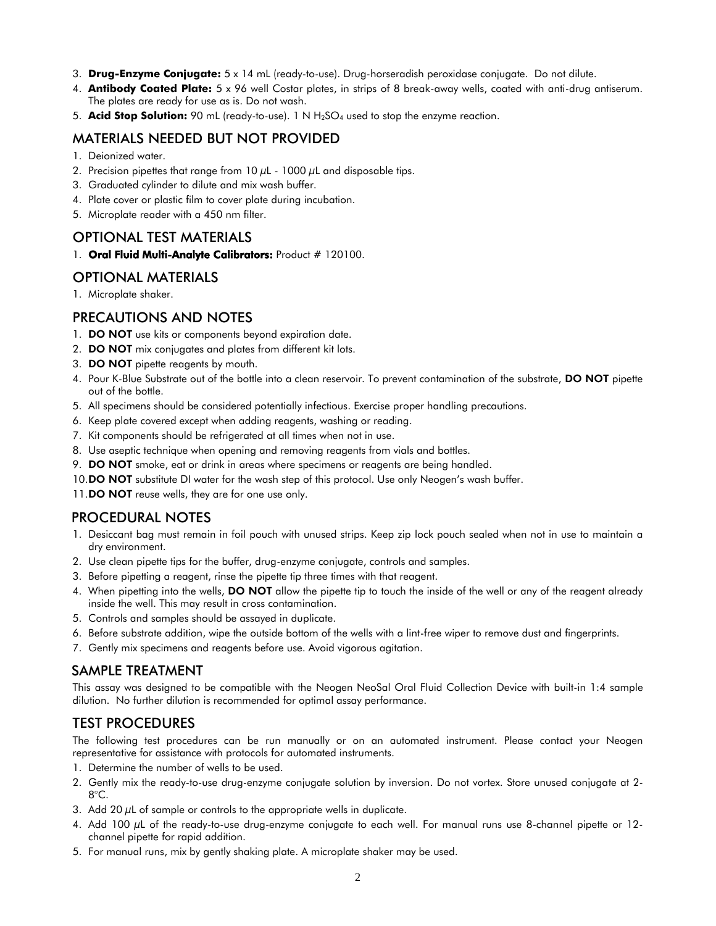- 3. **Drug-Enzyme Conjugate:** 5 x 14 mL (ready-to-use). Drug-horseradish peroxidase conjugate. Do not dilute.
- 4. **Antibody Coated Plate:** 5 x 96 well Costar plates, in strips of 8 break-away wells, coated with anti-drug antiserum. The plates are ready for use as is. Do not wash.
- 5. **Acid Stop Solution:** 90 mL (ready-to-use). 1 N H2SO<sup>4</sup> used to stop the enzyme reaction.

#### MATERIALS NEEDED BUT NOT PROVIDED

- 1. Deionized water.
- 2. Precision pipettes that range from 10  $\mu$ L 1000  $\mu$ L and disposable tips.
- 3. Graduated cylinder to dilute and mix wash buffer.
- 4. Plate cover or plastic film to cover plate during incubation.
- 5. Microplate reader with a 450 nm filter.

#### OPTIONAL TEST MATERIALS

1. Oral Fluid Multi-Analyte Calibrators: Product # 120100.

# OPTIONAL MATERIALS

1. Microplate shaker.

### PRECAUTIONS AND NOTES

- 1. DO NOT use kits or components beyond expiration date.
- 2. **DO NOT** mix conjugates and plates from different kit lots.
- 3. DO NOT pipette reagents by mouth.
- 4. Pour K-Blue Substrate out of the bottle into a clean reservoir. To prevent contamination of the substrate, DO NOT pipette out of the bottle.
- 5. All specimens should be considered potentially infectious. Exercise proper handling precautions.
- 6. Keep plate covered except when adding reagents, washing or reading.
- 7. Kit components should be refrigerated at all times when not in use.
- 8. Use aseptic technique when opening and removing reagents from vials and bottles.
- 9. DO NOT smoke, eat or drink in areas where specimens or reagents are being handled.
- 10.DO NOT substitute DI water for the wash step of this protocol. Use only Neogen's wash buffer.
- 11.DO NOT reuse wells, they are for one use only.

### PROCEDURAL NOTES

- 1. Desiccant bag must remain in foil pouch with unused strips. Keep zip lock pouch sealed when not in use to maintain a dry environment.
- 2. Use clean pipette tips for the buffer, drug-enzyme conjugate, controls and samples.
- 3. Before pipetting a reagent, rinse the pipette tip three times with that reagent.
- 4. When pipetting into the wells, DO NOT allow the pipette tip to touch the inside of the well or any of the reagent already inside the well. This may result in cross contamination.
- 5. Controls and samples should be assayed in duplicate.
- 6. Before substrate addition, wipe the outside bottom of the wells with a lint-free wiper to remove dust and fingerprints.
- 7. Gently mix specimens and reagents before use. Avoid vigorous agitation.

### SAMPLE TREATMENT

This assay was designed to be compatible with the Neogen NeoSal Oral Fluid Collection Device with built-in 1:4 sample dilution. No further dilution is recommended for optimal assay performance.

# TEST PROCEDURES

The following test procedures can be run manually or on an automated instrument. Please contact your Neogen representative for assistance with protocols for automated instruments.

- 1. Determine the number of wells to be used.
- 2. Gently mix the ready-to-use drug-enzyme conjugate solution by inversion. Do not vortex. Store unused conjugate at 2- 8°C.
- 3. Add 20  $\mu$ L of sample or controls to the appropriate wells in duplicate.
- 4. Add 100 µL of the ready-to-use drug-enzyme conjugate to each well. For manual runs use 8-channel pipette or 12channel pipette for rapid addition.
- 5. For manual runs, mix by gently shaking plate. A microplate shaker may be used.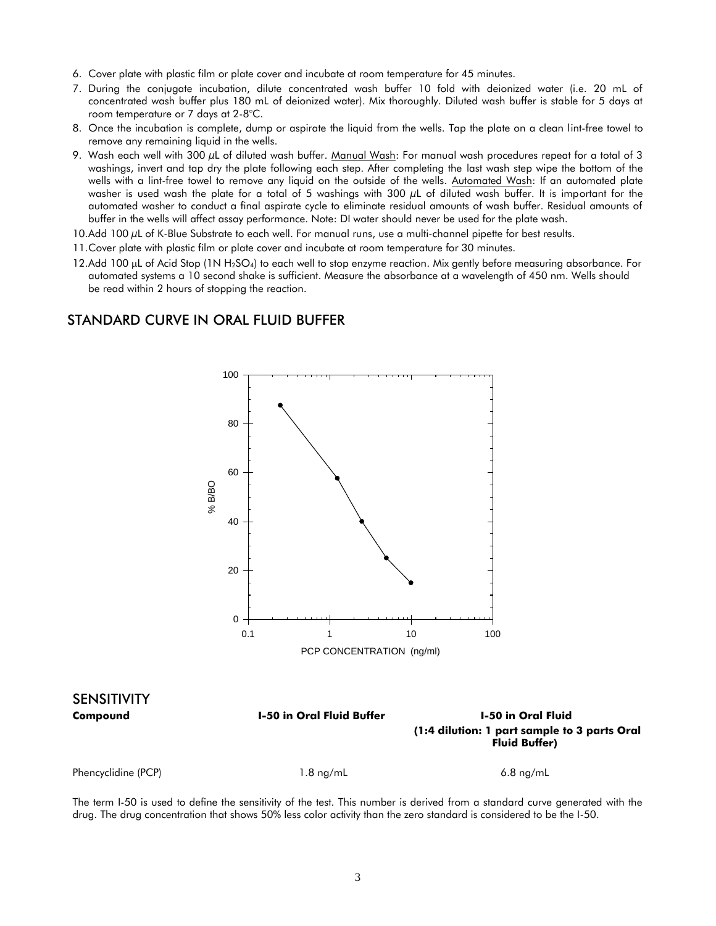- 6. Cover plate with plastic film or plate cover and incubate at room temperature for 45 minutes.
- 7. During the conjugate incubation, dilute concentrated wash buffer 10 fold with deionized water (i.e. 20 mL of concentrated wash buffer plus 180 mL of deionized water). Mix thoroughly. Diluted wash buffer is stable for 5 days at room temperature or 7 days at 2-8°C.
- 8. Once the incubation is complete, dump or aspirate the liquid from the wells. Tap the plate on a clean lint-free towel to remove any remaining liquid in the wells.
- 9. Wash each well with 300  $\mu$ L of diluted wash buffer. Manual Wash: For manual wash procedures repeat for a total of 3 washings, invert and tap dry the plate following each step. After completing the last wash step wipe the bottom of the wells with a lint-free towel to remove any liquid on the outside of the wells. Automated Wash: If an automated plate washer is used wash the plate for a total of 5 washings with 300 µL of diluted wash buffer. It is important for the automated washer to conduct a final aspirate cycle to eliminate residual amounts of wash buffer. Residual amounts of buffer in the wells will affect assay performance. Note: DI water should never be used for the plate wash.
- 10.Add 100 µL of K-Blue Substrate to each well. For manual runs, use a multi-channel pipette for best results.
- 11.Cover plate with plastic film or plate cover and incubate at room temperature for 30 minutes.
- 12.Add 100 µL of Acid Stop (1N H<sub>2</sub>SO<sub>4</sub>) to each well to stop enzyme reaction. Mix gently before measuring absorbance. For automated systems a 10 second shake is sufficient. Measure the absorbance at a wavelength of 450 nm. Wells should be read within 2 hours of stopping the reaction.

#### STANDARD CURVE IN ORAL FLUID BUFFER



The term I-50 is used to define the sensitivity of the test. This number is derived from a standard curve generated with the drug. The drug concentration that shows 50% less color activity than the zero standard is considered to be the I-50.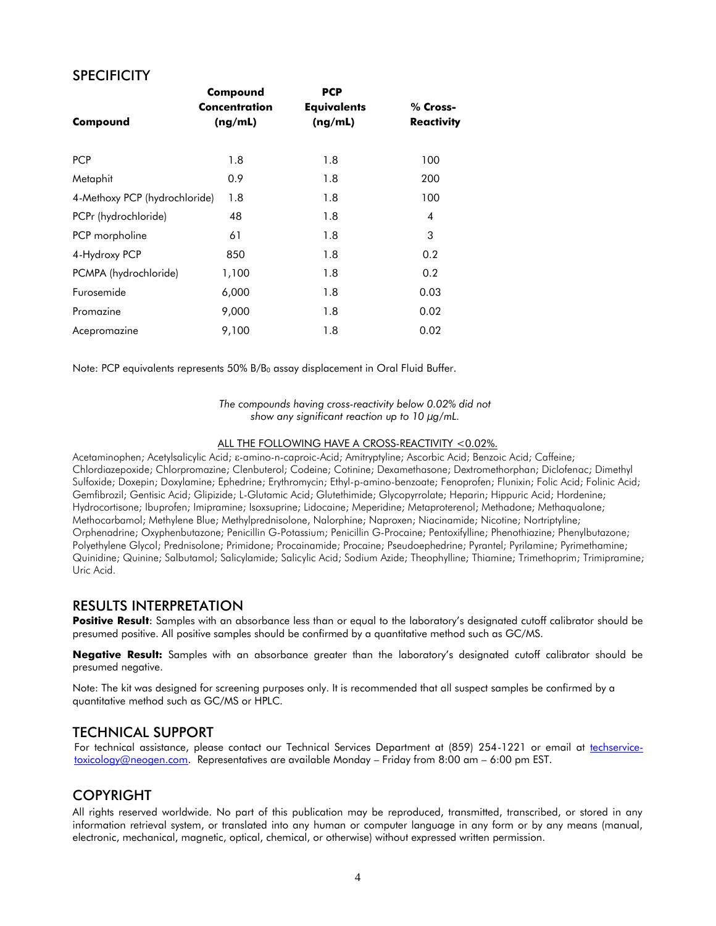#### **SPECIFICITY**

|                               | Compound      | <b>PCP</b>         |                   |
|-------------------------------|---------------|--------------------|-------------------|
|                               | Concentration | <b>Equivalents</b> | % Cross-          |
| Compound                      | (ng/mL)       | (ng/mL)            | <b>Reactivity</b> |
|                               |               |                    |                   |
| <b>PCP</b>                    | 1.8           | 1.8                | 100               |
| Metaphit                      | 0.9           | 1.8                | 200               |
| 4-Methoxy PCP (hydrochloride) | 1.8           | 1.8                | 100               |
| PCPr (hydrochloride)          | 48            | 1.8                | 4                 |
| PCP morpholine                | 61            | 1.8                | 3                 |
| 4-Hydroxy PCP                 | 850           | 1.8                | 0.2               |
| PCMPA (hydrochloride)         | 1,100         | 1.8                | 0.2               |
| Furosemide                    | 6,000         | 1.8                | 0.03              |
| Promazine                     | 9,000         | 1.8                | 0.02              |
| Acepromazine                  | 9,100         | 1.8                | 0.02              |

Note: PCP equivalents represents 50% B/B<sub>0</sub> assay displacement in Oral Fluid Buffer.

*The compounds having cross-reactivity below 0.02% did not show any significant reaction up to 10 µg/mL.*

#### ALL THE FOLLOWING HAVE A CROSS-REACTIVITY <0.02%.

Acetaminophen; Acetylsalicylic Acid;  $\varepsilon$ -amino-n-caproic-Acid; Amitryptyline; Ascorbic Acid; Benzoic Acid; Caffeine; Chlordiazepoxide; Chlorpromazine; Clenbuterol; Codeine; Cotinine; Dexamethasone; Dextromethorphan; Diclofenac; Dimethyl Sulfoxide; Doxepin; Doxylamine; Ephedrine; Erythromycin; Ethyl-p-amino-benzoate; Fenoprofen; Flunixin; Folic Acid; Folinic Acid; Gemfibrozil; Gentisic Acid; Glipizide; L-Glutamic Acid; Glutethimide; Glycopyrrolate; Heparin; Hippuric Acid; Hordenine; Hydrocortisone; Ibuprofen; Imipramine; Isoxsuprine; Lidocaine; Meperidine; Metaproterenol; Methadone; Methaqualone; Methocarbamol; Methylene Blue; Methylprednisolone, Nalorphine; Naproxen; Niacinamide; Nicotine; Nortriptyline; Orphenadrine; Oxyphenbutazone; Penicillin G-Potassium; Penicillin G-Procaine; Pentoxifylline; Phenothiazine; Phenylbutazone; Polyethylene Glycol; Prednisolone; Primidone; Procainamide; Procaine; Pseudoephedrine; Pyrantel; Pyrilamine; Pyrimethamine; Quinidine; Quinine; Salbutamol; Salicylamide; Salicylic Acid; Sodium Azide; Theophylline; Thiamine; Trimethoprim; Trimipramine; Uric Acid.

#### RESULTS INTERPRETATION

**Positive Result**: Samples with an absorbance less than or equal to the laboratory's designated cutoff calibrator should be presumed positive. All positive samples should be confirmed by a quantitative method such as GC/MS.

**Negative Result:** Samples with an absorbance greater than the laboratory's designated cutoff calibrator should be presumed negative.

Note: The kit was designed for screening purposes only. It is recommended that all suspect samples be confirmed by a quantitative method such as GC/MS or HPLC.

#### TECHNICAL SUPPORT

For technical assistance, please contact our Technical Services Department at (859) 254-1221 or email at [techservice](mailto:techservice-toxicology@neogen.com)[toxicology@neogen.com.](mailto:techservice-toxicology@neogen.com) Representatives are available Monday – Friday from 8:00 am – 6:00 pm EST.

#### COPYRIGHT

All rights reserved worldwide. No part of this publication may be reproduced, transmitted, transcribed, or stored in any information retrieval system, or translated into any human or computer language in any form or by any means (manual, electronic, mechanical, magnetic, optical, chemical, or otherwise) without expressed written permission.